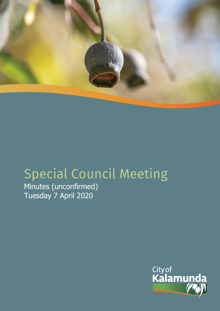

# Special Council Meeting

Minutes (unconfirmed) Tuesday 7 April 2020

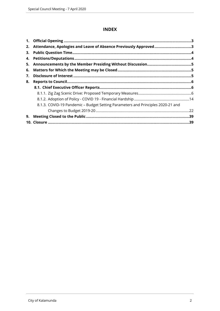## **INDEX**

| 2. | Attendance, Apologies and Leave of Absence Previously Approved3                 |  |
|----|---------------------------------------------------------------------------------|--|
| З. |                                                                                 |  |
| 4. |                                                                                 |  |
| 5. |                                                                                 |  |
| 6. |                                                                                 |  |
| 7. |                                                                                 |  |
| 8. |                                                                                 |  |
|    |                                                                                 |  |
|    |                                                                                 |  |
|    |                                                                                 |  |
|    | 8.1.3. COVID-19 Pandemic - Budget Setting Parameters and Principles 2020-21 and |  |
|    |                                                                                 |  |
| 9. |                                                                                 |  |
|    |                                                                                 |  |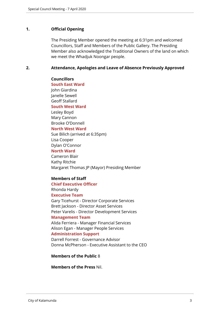## <span id="page-2-0"></span>**1. Official Opening**

The Presiding Member opened the meeting at 6:31pm and welcomed Councillors, Staff and Members of the Public Gallery. The Presiding Member also acknowledged the Traditional Owners of the land on which we meet the Whadjuk Noongar people.

## <span id="page-2-1"></span>**2. Attendance, Apologies and Leave of Absence Previously Approved**

## **Councillors**

**South East Ward** 

John Giardina Janelle Sewell Geoff Stallard

**South West Ward**

Lesley Boyd Mary Cannon Brooke O'Donnell

## **North West Ward**

Sue Bilich (arrived at 6:35pm) Lisa Cooper

Dylan O'Connor

#### **North Ward**

Cameron Blair Kathy Ritchie Margaret Thomas JP (Mayor) Presiding Member

## **Members of Staff**

## **Chief Executive Officer**

Rhonda Hardy

## **Executive Team**

Gary Ticehurst - Director Corporate Services Brett Jackson - Director Asset Services Peter Varelis - Director Development Services

#### **Management Team**

Alida Ferriera - Manager Financial Services Alison Egan - Manager People Services

## **Administration Support**

Darrell Forrest - Governance Advisor Donna McPherson - Executive Assistant to the CEO

## **Members of the Public** 8

**Members of the Press** Nil.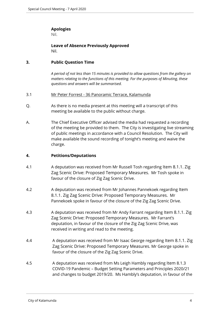## **Apologies**

Nil.

**Leave of Absence Previously Approved** Nil.

## <span id="page-3-0"></span>**3. Public Question Time**

*A period of not less than 15 minutes is provided to allow questions from the gallery on matters relating to the functions of this meeting. For the purposes of Minuting, these questions and answers will be summarised.*

## 3.1 Mr Peter Forrest - 36 Panoramic Terrace, Kalamunda

- Q. As there is no media present at this meeting will a transcript of this meeting be available to the public without charge.
- A. The Chief Executive Officer advised the media had requested a recording of the meeting be provided to them. The City is investigating live streaming of public meetings in accordance with a Council Resolution. The City will make available the sound recording of tonight's meeting and waive the charge.

## <span id="page-3-1"></span>**4. Petitions/Deputations**

- 4.1 A deputation was received from Mr Russell Tosh regarding Item 8.1.1. Zig Zag Scenic Drive: Proposed Temporary Measures. Mr Tosh spoke in favour of the closure of Zig Zag Scenic Drive.
- 4.2 A deputation was received from Mr Johannes Pannekoek regarding Item 8.1.1. Zig Zag Scenic Drive: Proposed Temporary Measures. Mr Pannekoek spoke in favour of the closure of the Zig Zag Scenic Drive.
- 4.3 A deputation was received from Mr Andy Farrant regarding Item 8.1.1. Zig Zag Scenic Drive: Proposed Temporary Measures. Mr Farrant's deputation, in favour of the closure of the Zig Zag Scenic Drive, was received in writing and read to the meeting.
- 4.4 A deputation was received from Mr Isaac George regarding Item 8.1.1. Zig Zag Scenic Drive: Proposed Temporary Measures. Mr George spoke in favour of the closure of the Zig Zag Scenic Drive.
- 4.5 A deputation was received from Ms Leigh Hambly regarding Item 8.1.3 COVID-19 Pandemic – Budget Setting Parameters and Principles 2020/21 and changes to budget 2019/20. Ms Hambly's deputation, in favour of the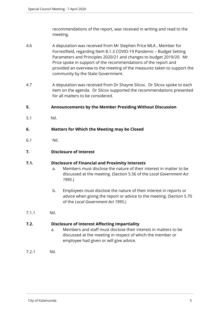recommendations of the report, was received in writing and read to the meeting.

- 4.6 A deputation was received from Mr Stephen Price MLA , Member for Forrestfield, regarding Item 8.1.3 COVID-19 Pandemic – Budget Setting Parameters and Principles 2020/21 and changes to budget 2019/20. Mr Price spoke in support of the recommendations of the report and provided an overview to the meeting of the measures taken to support the community by the State Government.
- 4.7 A deputation was received from Dr Shayne Silcox. Dr Silcox spoke to each item on the agenda. Dr Silcox supported the recommendations presented for all matters to be considered.

## <span id="page-4-0"></span>**5. Announcements by the Member Presiding Without Discussion**

5.1 Nil.

## <span id="page-4-1"></span>**6. Matters for Which the Meeting may be Closed**

6.1 Nil.

## <span id="page-4-2"></span>**7. Disclosure of Interest**

## **7.1. Disclosure of Financial and Proximity Interests**

- a. Members must disclose the nature of their interest in matter to be discussed at the meeting. (Section 5.56 of the *Local Government Act 1995*.)
- b. Employees must disclose the nature of their interest in reports or advice when giving the report or advice to the meeting. (Section 5.70 of the *Local Government Act 1995*.)
- 7.1.1 Nil.

## **7.2. Disclosure of Interest Affecting Impartiality**

- a. Members and staff must disclose their interest in matters to be discussed at the meeting in respect of which the member or employee had given or will give advice.
- 7.2.1 Nil.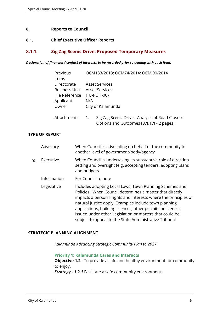## <span id="page-5-0"></span>**8. Reports to Council**

## <span id="page-5-1"></span>**8.1. Chief Executive Officer Reports**

## <span id="page-5-2"></span>**8.1.1. Zig Zag Scenic Drive: Proposed Temporary Measures**

#### *Declaration of financial / conflict of interests to be recorded prior to dealing with each item.*

| Previous             | OCM183/2013; OCM74/2014; OCM 90/2014                                                              |
|----------------------|---------------------------------------------------------------------------------------------------|
| <b>Items</b>         |                                                                                                   |
| Directorate          | Asset Services                                                                                    |
| <b>Business Unit</b> | Asset Services                                                                                    |
| File Reference       | HU-PUH-007                                                                                        |
| Applicant            | N/A                                                                                               |
| Owner                | City of Kalamunda                                                                                 |
| Attachments          | Zig Zag Scenic Drive - Analysis of Road Closure<br>1.<br>Options and Outcomes [8.1.1.1 - 2 pages] |

## **TYPE OF REPORT**

|   | Advocacy    | When Council is advocating on behalf of the community to<br>another level of government/body/agency                                                                                                                                                                                                                                                                                                                                |
|---|-------------|------------------------------------------------------------------------------------------------------------------------------------------------------------------------------------------------------------------------------------------------------------------------------------------------------------------------------------------------------------------------------------------------------------------------------------|
| X | Executive   | When Council is undertaking its substantive role of direction<br>setting and oversight (e.g. accepting tenders, adopting plans<br>and budgets                                                                                                                                                                                                                                                                                      |
|   | Information | For Council to note                                                                                                                                                                                                                                                                                                                                                                                                                |
|   | Legislative | Includes adopting Local Laws, Town Planning Schemes and<br>Policies. When Council determines a matter that directly<br>impacts a person's rights and interests where the principles of<br>natural justice apply. Examples include town planning<br>applications, building licences, other permits or licences<br>issued under other Legislation or matters that could be<br>subject to appeal to the State Administrative Tribunal |

## **STRATEGIC PLANNING ALIGNMENT**

*Kalamunda Advancing Strategic Community Plan to 2027*

**Priority 1: Kalamunda Cares and Interacts Objective 1.2** - To provide a safe and healthy environment for community to enjoy. *Strategy - 1.2.1* Facilitate a safe community environment.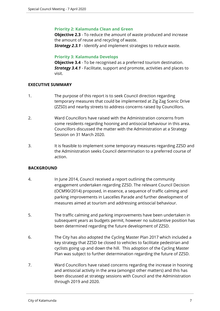## **Priority 2: Kalamunda Clean and Green**

**Objective 2.3** - To reduce the amount of waste produced and increase the amount of reuse and recycling of waste. *Strategy 2.3.1* - Identify and implement strategies to reduce waste.

## **Priority 3: Kalamunda Develops**

**Objective 3.4** - To be recognised as a preferred tourism destination. *Strategy 3.4.1* - Facilitate, support and promote, activities and places to visit.

## **EXECUTIVE SUMMARY**

- 1. The purpose of this report is to seek Council direction regarding temporary measures that could be implemented at Zig Zag Scenic Drive (ZZSD) and nearby streets to address concerns raised by Councillors.
- 2. Ward Councillors have raised with the Administration concerns from some residents regarding hooning and antisocial behaviour in this area. Councillors discussed the matter with the Administration at a Strategy Session on 31 March 2020.
- 3. It is feasible to implement some temporary measures regarding ZZSD and the Administration seeks Council determination to a preferred course of action.

## **BACKGROUND**

- 4. In June 2014, Council received a report outlining the community engagement undertaken regarding ZZSD. The relevant Council Decision (OCM90/2014) proposed, in essence, a sequence of traffic calming and parking improvements in Lascelles Parade and further development of measures aimed at tourism and addressing antisocial behaviour.
- 5. The traffic calming and parking improvements have been undertaken in subsequent years as budgets permit, however no substantive position has been determined regarding the future development of ZZSD.
- 6. The City has also adopted the Cycling Master Plan 2017 which included a key strategy that ZZSD be closed to vehicles to facilitate pedestrian and cyclists going up and down the hill. This adoption of the Cycling Master Plan was subject to further determination regarding the future of ZZSD.
- 7. Ward Councillors have raised concerns regarding the increase in hooning and antisocial activity in the area (amongst other matters) and this has been discussed at strategy sessions with Council and the Administration through 2019 and 2020.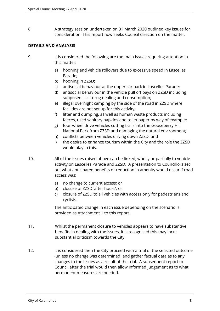8. A strategy session undertaken on 31 March 2020 outlined key issues for consideration. This report now seeks Council direction on the matter.

## **DETAILS AND ANALYSIS**

- 9. It is considered the following are the main issues requiring attention in this matter:
	- a) hooning and vehicle rollovers due to excessive speed in Lascelles Parade;
	- b) hooning in ZZSD;
	- c) antisocial behaviour at the upper car park in Lascelles Parade;
	- d) antisocial behaviour in the vehicle pull off bays on ZZSD including supposed illicit drug dealing and consumption;
	- e) illegal overnight camping by the side of the road in ZZSD where facilities are not set up for this activity;
	- f) litter and dumping, as well as human waste products including faeces, used sanitary napkins and toilet paper by way of example;
	- g) four-wheel drive vehicles cutting trails into the Gooseberry Hill National Park from ZZSD and damaging the natural environment;
	- h) conflicts between vehicles driving down ZZSD; and
	- i) the desire to enhance tourism within the City and the role the ZZSD would play in this.
- 10. All of the issues raised above can be linked, wholly or partially to vehicle activity on Lascelles Parade and ZZSD. A presentation to Councillors set out what anticipated benefits or reduction in amenity would occur if road access was:
	- a) no change to current access; or
	- b) closure of ZZSD 'after hours'; or
	- c) closure of ZZSD to all vehicles with access only for pedestrians and cyclists.

The anticipated change in each issue depending on the scenario is provided as Attachment 1 to this report.

- 11. Whilst the permanent closure to vehicles appears to have substantive benefits in dealing with the issues, it is recognised this may incur substantial criticism towards the City.
- 12. It is considered then the City proceed with a trial of the selected outcome (unless no change was determined) and gather factual data as to any changes to the issues as a result of the trial. A subsequent report to Council after the trial would then allow informed judgement as to what permanent measures are needed.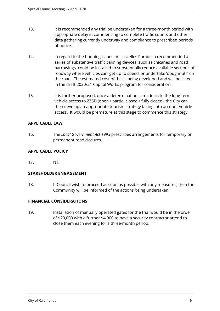- 13. It is recommended any trial be undertaken for a three-month period with appropriate delay in commencing to complete traffic counts and other data gathering currently underway and compliance to prescribed periods of notice.
- 14. In regard to the hooning issues on Lascelles Parade, a recommended a series of substantive traffic calming devices, such as chicanes and road narrowings, could be installed to substantially reduce available sections of roadway where vehicles can 'get up to speed' or undertake 'doughnuts' on the road. The estimated cost of this is being developed and will be listed in the draft 2020/21 Capital Works program for consideration.
- 15. It is further proposed, once a determination is made as to the long-term vehicle access to ZZSD (open / partial closed / fully closed), the City can then develop an appropriate tourism strategy taking into account vehicle access. It would be premature at this stage to commence this strategy.

## **APPLICABLE LAW**

16. The *Local Government Act 1995* prescribes arrangements for temporary or permanent road closures.

## **APPLICABLE POLICY**

17. Nil.

## **STAKEHOLDER ENGAGEMENT**

18. If Council wish to proceed as soon as possible with any measures, then the Community will be informed of the actions being undertaken.

## **FINANCIAL CONSIDERATIONS**

19. Installation of manually operated gates for the trial would be in the order of \$20,000 with a further \$4,000 to have a security contractor attend to close them each evening for a three-month period.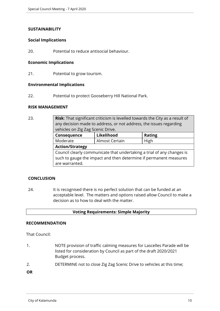## **SUSTAINABILITY**

## **Social Implications**

20. Potential to reduce antisocial behaviour.

## **Economic Implications**

21. Potential to grow tourism.

## **Environmental Implications**

22. Potential to protect Gooseberry Hill National Park.

## **RISK MANAGEMENT**

23. **Risk**: That significant criticism is levelled towards the City as a result of any decision made to address, or not address, the issues regarding vehicles on Zig Zag Scenic Drive.

| Consequence                                                            | Likelihood     | <b>Rating</b> |
|------------------------------------------------------------------------|----------------|---------------|
| Moderate                                                               | Almost Certain | High          |
| <b>Action/Strategy</b>                                                 |                |               |
| Council clearly communicate that undertaking a trial of any changes is |                |               |
| such to gauge the impact and then determine if permanent measures      |                |               |
| are warranted.                                                         |                |               |
|                                                                        |                |               |

## **CONCLUSION**

24. It is recognised there is no perfect solution that can be funded at an acceptable level. The matters and options raised allow Council to make a decision as to how to deal with the matter.

## **Voting Requirements: Simple Majority**

#### **RECOMMENDATION**

That Council:

- 1. NOTE provision of traffic calming measures for Lascelles Parade will be listed for consideration by Council as part of the draft 2020/2021 Budget process.
- 2. DETERMINE not to close Zig Zag Scenic Drive to vehicles at this time;

**OR**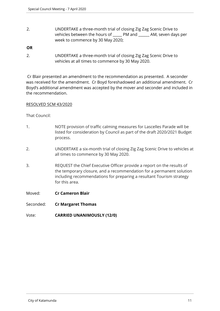2. UNDERTAKE a three-month trial of closing Zig Zag Scenic Drive to vehicles between the hours of \_\_\_\_\_ PM and \_\_\_\_\_\_ AM, seven days per week to commence by 30 May 2020;

## **OR**

2. UNDERTAKE a three-month trial of closing Zig Zag Scenic Drive to vehicles at all times to commence by 30 May 2020.

 Cr Blair presented an amendment to the recommendation as presented. A seconder was received for the amendment. Cr Boyd foreshadowed an additional amendment. Cr Boyd's additional amendment was accepted by the mover and seconder and included in the recommendation.

## RESOLVED SCM 43/2020

- 1. NOTE provision of traffic calming measures for Lascelles Parade will be listed for consideration by Council as part of the draft 2020/2021 Budget process.
- 2. UNDERTAKE a six-month trial of closing Zig Zag Scenic Drive to vehicles at all times to commence by 30 May 2020.
- 3. REQUEST the Chief Executive Officer provide a report on the results of the temporary closure, and a recommendation for a permanent solution including recommendations for preparing a resultant Tourism strategy for this area.
- Moved: **Cr Cameron Blair**
- Seconded: **Cr Margaret Thomas**
- Vote: **CARRIED UNANIMOUSLY (12/0)**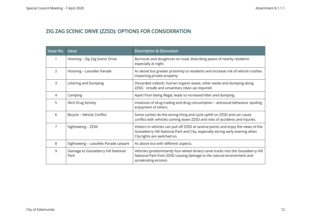# ZIG ZAG SCENIC DRIVE (ZZSD): OPTIONS FOR CONSIDERATION

| <b>Issue No.</b> | <b>Issue</b>                               | <b>Description &amp; Discussion</b>                                                                                                                                                                 |
|------------------|--------------------------------------------|-----------------------------------------------------------------------------------------------------------------------------------------------------------------------------------------------------|
|                  | Hooning - Zig Zag Scenic Drive             | Burnouts and doughnuts on road, disturbing peace of nearby residents<br>especially at night.                                                                                                        |
| 2                | Hooning - Lascelles Parade                 | As above but greater proximity to residents and increase risk of vehicle crashes<br>impacting private property.                                                                                     |
| 3                | Littering and Dumping                      | Discarded rubbish, human organic waste, other waste and dumping along<br>ZZSD. Unsafe and unsanitary clean up required.                                                                             |
| 4                | Camping                                    | Apart from being illegal, leads to increased litter and dumping.                                                                                                                                    |
| 5                | <b>Illicit Drug Activity</b>               | Instances of drug trading and drug consumption - antisocial behaviour spoiling<br>enjoyment of others.                                                                                              |
| 6                | Bicycle - Vehicle Conflict                 | Some cyclists do the wrong thing and cycle uphill on ZZSD and can cause<br>conflict with vehicles coming down ZZSD and risks of accidents and injuries.                                             |
| 7                | Sightseeing - ZZSD                         | Visitors in vehicles can pull off ZZSD at several points and enjoy the views of the<br>Gooseberry Hill National Park and City, especially during early evening when<br>City lights are switched on. |
| 8                | Sightseeing - Lascelles Parade carpark     | As above but with different aspects.                                                                                                                                                                |
| 9                | Damage to Gooseberry Hill National<br>Park | Vehicles (predominantly four-wheel drives) carve tracks into the Gooseberry Hill<br>National Park from ZZSD causing damage to the natural environment and<br>accelerating erosion.                  |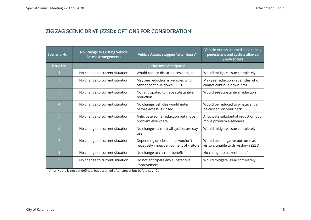# ZIG ZAG SCENIC DRIVE (ZZSD): OPTIONS FOR CONSIDERATION

| Scenario $\rightarrow$ : | No Change to Existing Vehicle<br><b>Access Arrangements</b> | Vehicle Access stopped "after hours" 1                                       | Vehicle Access stopped at all times,<br>pedestrians and cyclists allowed<br>2-way access |
|--------------------------|-------------------------------------------------------------|------------------------------------------------------------------------------|------------------------------------------------------------------------------------------|
| <b>Issue No.</b>         |                                                             | <b>Outcome Anticipated</b>                                                   |                                                                                          |
| 1                        | No change to current situation                              | Would reduce disturbances at night                                           | Would mitigate issue completely                                                          |
| $\overline{2}$           | No change to current situation                              | May see reduction in vehicles who<br>cannot continue down ZZSD               | May see reduction in vehicles who<br>cannot continue down ZZSD                           |
| $\overline{3}$           | No change to current situation                              | Not anticipated to have substantive<br>reduction                             | Would see substantive reduction                                                          |
| 4                        | No change to current situation                              | No change, vehicles would enter<br>before access is closed                   | Would be reduced to whatever can<br>be carried 'on your back'                            |
| 5                        | No change to current situation                              | Anticipate some reduction but move<br>problem elsewhere                      | Anticipate substantial reduction but<br>move problem elsewhere                           |
| $6\phantom{1}$           | No change to current situation                              | No change - almost all cyclists are day<br>use                               | Would mitigate issue completely                                                          |
| 7                        | No change to current situation                              | Depending on close time, wouldn't<br>negatively impact enjoyment of visitors | Would be a negative outcome as<br>visitors unable to drive down ZZSD                     |
| 8                        | No change to current situation                              | No change to current benefit                                                 | No change to current benefit                                                             |
| 9                        | No change to current situation                              | Do not anticipate any substantive<br>improvement                             | Would mitigate issue completely                                                          |

1: After Hours is not yet defined, but assumed after sunset but before say 10pm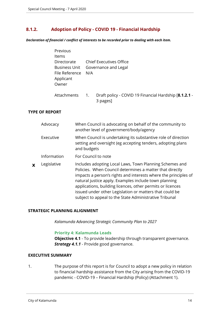## <span id="page-13-0"></span>**8.1.2. Adoption of Policy - COVID 19 - Financial Hardship**

*Declaration of financial / conflict of interests to be recorded prior to dealing with each item.*

| Previous       |                  |                                                                   |
|----------------|------------------|-------------------------------------------------------------------|
| <b>Items</b>   |                  |                                                                   |
| Directorate    |                  | Chief Executives Office                                           |
| Business Unit  |                  | Governance and Legal                                              |
| File Reference | N/A              |                                                                   |
| Applicant      |                  |                                                                   |
| Owner          |                  |                                                                   |
|                |                  |                                                                   |
| Attachments    | $\overline{1}$ . | Draft policy - COVID 19 Financial Hardship [8.1.2.1 -<br>3 pages] |

#### **TYPE OF REPORT**

|   | Advocacy    | When Council is advocating on behalf of the community to<br>another level of government/body/agency                                                                                                                                                                                                                                                                                                                                |
|---|-------------|------------------------------------------------------------------------------------------------------------------------------------------------------------------------------------------------------------------------------------------------------------------------------------------------------------------------------------------------------------------------------------------------------------------------------------|
|   | Executive   | When Council is undertaking its substantive role of direction<br>setting and oversight (eg accepting tenders, adopting plans<br>and budgets                                                                                                                                                                                                                                                                                        |
|   | Information | For Council to note                                                                                                                                                                                                                                                                                                                                                                                                                |
| X | Legislative | Includes adopting Local Laws, Town Planning Schemes and<br>Policies. When Council determines a matter that directly<br>impacts a person's rights and interests where the principles of<br>natural justice apply. Examples include town planning<br>applications, building licences, other permits or licences<br>issued under other Legislation or matters that could be<br>subject to appeal to the State Administrative Tribunal |

#### **STRATEGIC PLANNING ALIGNMENT**

*Kalamunda Advancing Strategic Community Plan to 2027*

#### **Priority 4: Kalamunda Leads**

**Objective 4.1** - To provide leadership through transparent governance. **Strategy 4.1.1** - Provide good governance.

#### **EXECUTIVE SUMMARY**

1. The purpose of this report is for Council to adopt a new policy in relation to financial hardship assistance from the City arising from the COVID-19 pandemic - COVID-19 – Financial Hardship (Policy) (Attachment 1).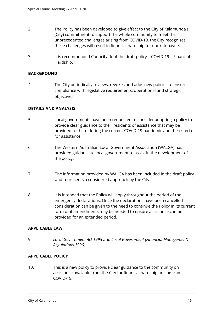- 2. The Policy has been developed to give effect to the City of Kalamunda's (City) commitment to support the whole community to meet the unprecedented challenges arising from COVID-19, the City recognises these challenges will result in financial hardship for our ratepayers.
- 3. It is recommended Council adopt the draft policy COVID-19 Financial Hardship.

## **BACKGROUND**

4. The City periodically reviews, revokes and adds new policies to ensure compliance with legislative requirements, operational and strategic objectives.

## **DETAILS AND ANALYSIS**

- 5. Local governments have been requested to consider adopting a policy to provide clear guidance to their residents of assistance that may be provided to them during the current COVID-19 pandemic and the criteria for assistance.
- 6. The Western Australian Local Government Association (WALGA) has provided guidance to local government to assist in the development of the policy.
- 7. The information provided by WALGA has been included in the draft policy and represents a considered approach by the City.
- 8. It is intended that the Policy will apply throughout the period of the emergency declarations. Once the declarations have been cancelled consideration can be given to the need to continue the Policy in its current form or if amendments may be needed to ensure assistance can be provided for an extended period.

#### **APPLICABLE LAW**

9. *Local Government Act 1995* and *Local Government (Financial Management) Regulations 1996*.

## **APPLICABLE POLICY**

10. This is a new policy to provide clear guidance to the community on assistance available from the City for financial hardship arising from COVID-19.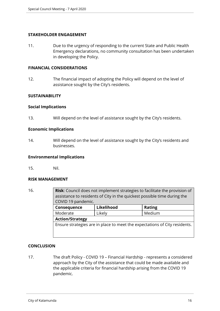## **STAKEHOLDER ENGAGEMENT**

11. Due to the urgency of responding to the current State and Public Health Emergency declarations, no community consultation has been undertaken in developing the Policy.

## **FINANCIAL CONSIDERATIONS**

12. The financial impact of adopting the Policy will depend on the level of assistance sought by the City's residents.

## **SUSTAINABILITY**

#### **Social Implications**

13. Will depend on the level of assistance sought by the City's residents.

## **Economic Implications**

14. Will depend on the level of assistance sought by the City's residents and businesses.

#### **Environmental Implications**

15. Nil.

#### **RISK MANAGEMENT**

16. **Risk**: Council does not implement strategies to facilitate the provision of assistance to residents of City in the quickest possible time during the COVID 19 pandemic. **Consequence Likelihood Rating** Moderate | Likely | Medium **Action/Strategy**

Ensure strategies are in place to meet the expectations of City residents.

## **CONCLUSION**

17. The draft Policy - COVID 19 – Financial Hardship - represents a considered approach by the City of the assistance that could be made available and the applicable criteria for financial hardship arising from the COVID 19 pandemic.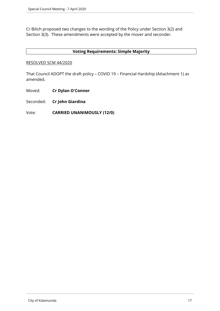Cr Bilich proposed two changes to the wording of the Policy under Section 3(2) and Section 3(3). These amendments were accepted by the mover and seconder.

## **Voting Requirements: Simple Majority**

## RESOLVED SCM 44/2020

That Council ADOPT the draft policy – COVID 19 – Financial Hardship (Attachment 1) as amended.

Moved: **Cr Dylan O'Connor**

Seconded: **Cr John Giardina**

Vote: **CARRIED UNANIMOUSLY (12/0)**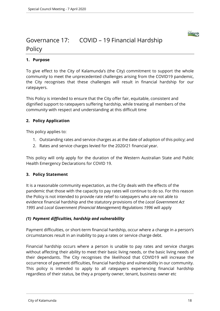

# Governance 17: COVID – 19 Financial Hardship Policy

## **1. Purpose**

To give effect to the City of Kalamunda's (the City) commitment to support the whole community to meet the unprecedented challenges arising from the COVID19 pandemic, the City recognises that these challenges will result in financial hardship for our ratepayers.

This Policy is intended to ensure that the City offer fair, equitable, consistent and dignified support to ratepayers suffering hardship, while treating all members of the community with respect and understanding at this difficult time

## **2. Policy Application**

This policy applies to:

- 1. Outstanding rates and service charges as at the date of adoption of this policy; and
- 2. Rates and service charges levied for the 2020/21 financial year.

This policy will only apply for the duration of the Western Australian State and Public Health Emergency Declarations for COVID 19.

## **3. Policy Statement**

It is a reasonable community expectation, as the City deals with the effects of the pandemic that those with the capacity to pay rates will continue to do so. For this reason the Policy is not intended to provide rate relief to ratepayers who are not able to evidence financial hardship and the statutory provisions of the *Local Government Act 1995* and *Local Government (Financial Management) Regulations 1996* will apply

## *(1) Payment difficulties, hardship and vulnerability*

Payment difficulties, or short-term financial hardship, occur where a change in a person's circumstances result in an inability to pay a rates or service charge debt.

Financial hardship occurs where a person is unable to pay rates and service charges without affecting their ability to meet their basic living needs, or the basic living needs of their dependants. The City recognises the likelihood that COVID19 will increase the occurrence of payment difficulties, financial hardship and vulnerability in our community. This policy is intended to apply to all ratepayers experiencing financial hardship regardless of their status, be they a property owner, tenant, business owner etc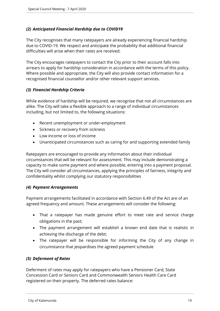## *(2) Anticipated Financial Hardship due to COVID19*

The City recognises that many ratepayers are already experiencing financial hardship due to COVID-19. We respect and anticipate the probability that additional financial difficulties will arise when their rates are received.

The City encourages ratepayers to contact the City prior to their account falls into arrears to apply for hardship consideration in accordance with the terms of this policy. Where possible and appropriate, the City will also provide contact information for a recognised financial counsellor and/or other relevant support services.

## *(3) Financial Hardship Criteria*

While evidence of hardship will be required, we recognise that not all circumstances are alike. The City will take a flexible approach to a range of individual circumstances including, but not limited to, the following situations:

- Recent unemployment or under-employment
- Sickness or recovery from sickness
- Low income or loss of income
- Unanticipated circumstances such as caring for and supporting extended family

Ratepayers are encouraged to provide any information about their individual circumstances that will be relevant for assessment. This may include demonstrating a capacity to make some payment and where possible, entering into a payment proposal. The City will consider all circumstances, applying the principles of fairness, integrity and confidentiality whilst complying our statutory responsibilities

## *(4) Payment Arrangements*

Payment arrangements facilitated in accordance with Section 6.49 of the Act are of an agreed frequency and amount. These arrangements will consider the following:

- That a ratepayer has made genuine effort to meet rate and service charge obligations in the past;
- The payment arrangement will establish a known end date that is realistic in achieving the discharge of the debt;
- The ratepayer will be responsible for informing the City of any change in circumstance that jeopardises the agreed payment schedule

## *(5) Deferment of Rates*

Deferment of rates may apply for ratepayers who have a Pensioner Card, State Concession Card or Seniors Card and Commonwealth Seniors Health Care Card registered on their property. The deferred rates balance: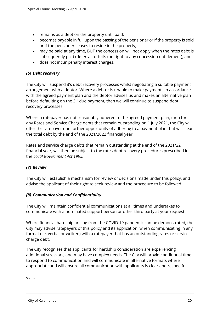- remains as a debt on the property until paid;
- becomes payable in full upon the passing of the pensioner or if the property is sold or if the pensioner ceases to reside in the property;
- may be paid at any time, BUT the concession will not apply when the rates debt is subsequently paid (deferral forfeits the right to any concession entitlement); and
- does not incur penalty interest charges.

## *(6) Debt recovery*

The City will suspend it's debt recovery processes whilst negotiating a suitable payment arrangement with a debtor. Where a debtor is unable to make payments in accordance with the agreed payment plan and the debtor advises us and makes an alternative plan before defaulting on the 3rd due payment, then we will continue to suspend debt recovery processes.

Where a ratepayer has not reasonably adhered to the agreed payment plan, then for any Rates and Service Charge debts that remain outstanding on 1 July 2021, the City will offer the ratepayer one further opportunity of adhering to a payment plan that will clear the total debt by the end of the 2021/2022 financial year.

Rates and service charge debts that remain outstanding at the end of the 2021/22 financial year, will then be subject to the rates debt recovery procedures prescribed in the *Local Government Act 1995.*

## *(7) Review*

The City will establish a mechanism for review of decisions made under this policy, and advise the applicant of their right to seek review and the procedure to be followed.

## *(8) Communication and Confidentiality*

The City will maintain confidential communications at all times and undertakes to communicate with a nominated support person or other third party at your request.

Where financial hardship arising from the COVID 19 pandemic can be demonstrated, the City may advise ratepayers of this policy and its application, when communicating in any format (i.e. verbal or written) with a ratepayer that has an outstanding rates or service charge debt.

The City recognises that applicants for hardship consideration are experiencing additional stressors, and may have complex needs. The City will provide additional time to respond to communication and will communicate in alternative formats where appropriate and will ensure all communication with applicants is clear and respectful.

| $\sim$<br>314WS |  |
|-----------------|--|
|                 |  |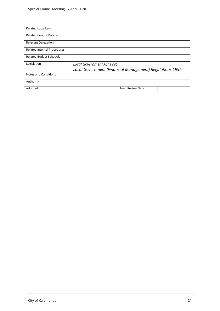| Related Local Law                  |                                                          |
|------------------------------------|----------------------------------------------------------|
| <b>Related Council Policies</b>    |                                                          |
| <b>Relevant Delegation</b>         |                                                          |
| <b>Related Internal Procedures</b> |                                                          |
| <b>Related Budget Schedule</b>     |                                                          |
| Legislation                        | Local Government Act 1995                                |
|                                    | Local Government (Financial Management) Regulations 1996 |
| Notes and Conditions               |                                                          |
| Authority                          |                                                          |
| Adopted                            | <b>Next Review Date</b>                                  |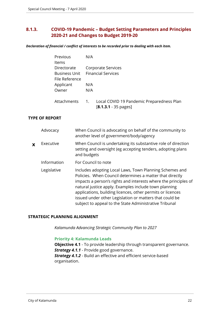## <span id="page-21-0"></span>**8.1.3. COVID-19 Pandemic – Budget Setting Parameters and Principles 2020-21 and Changes to Budget 2019-20**

*Declaration of financial / conflict of interests to be recorded prior to dealing with each item.*

| Previous       | N/A                                                           |
|----------------|---------------------------------------------------------------|
| <b>Items</b>   |                                                               |
| Directorate    | Corporate Services                                            |
|                | <b>Business Unit</b> Financial Services                       |
| File Reference |                                                               |
| Applicant      | N/A                                                           |
| Owner          | N/A                                                           |
|                |                                                               |
| Attachments    | Local COVID 19 Pandemic Preparedness Plan<br>$\overline{1}$ . |
|                | $[8.1.3.1 - 35 \text{ pages}]$                                |

## **TYPE OF REPORT**

|   | Advocacy    | When Council is advocating on behalf of the community to<br>another level of government/body/agency                                                                                                                                                                                                                                                                                                                                |
|---|-------------|------------------------------------------------------------------------------------------------------------------------------------------------------------------------------------------------------------------------------------------------------------------------------------------------------------------------------------------------------------------------------------------------------------------------------------|
| X | Executive   | When Council is undertaking its substantive role of direction<br>setting and oversight (eg accepting tenders, adopting plans<br>and budgets                                                                                                                                                                                                                                                                                        |
|   | Information | For Council to note                                                                                                                                                                                                                                                                                                                                                                                                                |
|   | Legislative | Includes adopting Local Laws, Town Planning Schemes and<br>Policies. When Council determines a matter that directly<br>impacts a person's rights and interests where the principles of<br>natural justice apply. Examples include town planning<br>applications, building licences, other permits or licences<br>issued under other Legislation or matters that could be<br>subject to appeal to the State Administrative Tribunal |

## **STRATEGIC PLANNING ALIGNMENT**

*Kalamunda Advancing Strategic Community Plan to 2027*

#### **Priority 4: Kalamunda Leads**

**Objective 4.1** - To provide leadership through transparent governance. **Strategy 4.1.1** - Provide good governance. *Strategy 4.1.2* - Build an effective and efficient service-based organisation.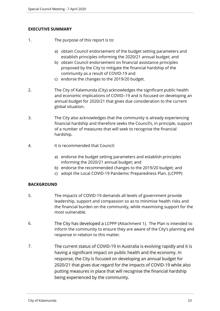## **EXECUTIVE SUMMARY**

- 1. The purpose of this report is to:
	- a) obtain Council endorsement of the budget setting parameters and establish principles informing the 2020/21 annual budget; and
	- b) obtain Council endorsement on financial assistance principles proposed by the City to mitigate the financial hardship of the community as a result of COVID-19 and
	- c) endorse the changes to the 2019/20 budget.
- 2. The City of Kalamunda (City) acknowledges the significant public health and economic implications of COVID–19 and is focused on developing an annual budget for 2020/21 that gives due consideration to the current global situation.
- 3. The City also acknowledges that the community is already experiencing financial hardship and therefore seeks the Council's, in principle, support of a number of measures that will seek to recognise the financial hardship.
- 4. It is recommended that Council:
	- a) endorse the budget setting parameters and establish principles informing the 2020/21 annual budget; and
	- b) endorse the recommended changes to the 2019/20 budget; and
	- c) adopt the Local COVID-19 Pandemic Preparedness Plan. (LCPPP)

## **BACKGROUND**

- 5. The impacts of COVID-19 demands all levels of government provide leadership, support and compassion so as to minimise health risks and the financial burden on the community, while maximising support for the most vulnerable.
- 6. The City has developed a LCPPP (Attachment 1). The Plan is intended to inform the community to ensure they are aware of the City's planning and response in relation to this matter.
- 7. The current status of COVID-19 in Australia is evolving rapidly and it is having a significant impact on public health and the economy. In response, the City is focused on developing an annual budget for 2020/21 that gives due regard for the impacts of COVID-19 while also putting measures in place that will recognise the financial hardship being experienced by the community.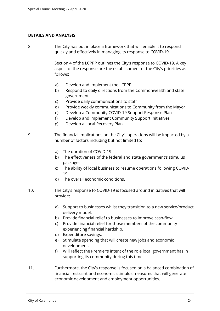## **DETAILS AND ANALYSIS**

8. The City has put in place a framework that will enable it to respond quickly and effectively in managing its response to COVID-19.

> Section 4 of the LCPPP outlines the City's response to COVID-19. A key aspect of the response are the establishment of the City's priorities as follows:

- a) Develop and Implement the LCPPP
- b) Respond to daily directions from the Commonwealth and state government
- c) Provide daily communications to staff
- d) Provide weekly communications to Community from the Mayor
- e) Develop a Community COVID-19 Support Response Plan
- f) Develop and implement Community Support Initiatives
- g) Develop a Local Recovery Plan

9. The financial implications on the City's operations will be impacted by a number of factors including but not limited to:

- a) The duration of COVID-19.
- b) The effectiveness of the federal and state government's stimulus packages.
- c) The ability of local business to resume operations following COVID-19.
- d) The overall economic conditions.
- 10. The City's response to COVID-19 is focused around initiatives that will provide:
	- a) Support to businesses whilst they transition to a new service/product delivery model.
	- b) Provide financial relief to businesses to improve cash-flow.
	- c) Provide financial relief for those members of the community experiencing financial hardship.
	- d) Expenditure savings.
	- e) Stimulate spending that will create new jobs and economic development.
	- f) Will reflect the Premier's intent of the role local government has in supporting its community during this time.
- 11. Furthermore, the City's response is focused on a balanced combination of financial restraint and economic stimulus measures that will generate economic development and employment opportunities.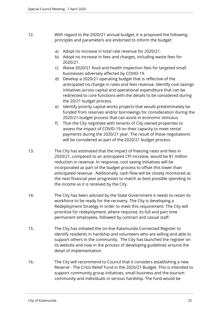- 12. With regard to the 2020/21 annual budget, it is proposed the following principles and parameters are endorsed to inform the budget:
	- a) Adopt no increase in total rate revenue for 2020/21.
	- b) Adopt no increase in fees and charges, including waste fees for 2020/21.
	- c) Waive 2020/21 food and health inspection fees for targeted small businesses adversely affected by COVID-19.
	- d) Develop a 2020/21 operating budget that is reflective of the anticipated no change in rates and fees revenue. Identify cost savings initiatives across capital and operational expenditure that can be redirected to core functions with the details to be considered during the 20/21 budget process.
	- e) Identify priority capital works projects that would predominately be funded from reserves and/or borrowings for consideration during the 2020/21 budget process that can assist in economic stimulus.
	- f) That the City negotiate with tenants of City owned properties to assess the impact of COVID-19 on their capacity to meet rental payments during the 2020/21 year. The result of these negotiations will be considered as part of the 2020/21 budget process.
- 13. The City has estimated that the impact of freezing rates and fees in 2020/21, compared to an anticipated CPI increase, would be \$1 million reduction in revenue. In response, cost saving initiatives will be incorporated as part of the budget process to offset this lower than anticipated revenue. Additionally, cash flow will be closely monitored as the next financial year progresses to match as best possible spending to the income as it is received by the City.
- 14. The City has been advised by the State Government it needs to retain its workforce to be ready for the recovery. The City is developing a Redeployment Strategy in order to meet this requirement. The City will prioritise for redeployment, where required, its full and part time permanent employees, followed by contract and casual staff.
- 15. The City has initiated the on-line Kalamunda Connected Register to identify residents in hardship and volunteers who are willing and able to support others in the community. The City has launched the register on its website and now in the process of developing guidelines around the detail of implementation.
- 16. The City will recommend to Council that it considers establishing a new Reserve - The Crisis Relief Fund in the 2020/21 Budget. This is intended to support community group initiatives, small business and the tourism community and individuals in serious hardship. The fund would be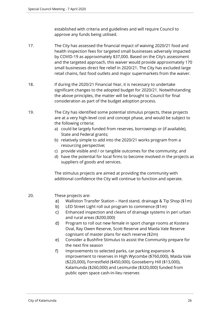established with criteria and guidelines and will require Council to approve any funds being utilised.

- 17. The City has assessed the financial impact of waiving 2020/21 food and health inspection fees for targeted small businesses adversely impacted by COVID-19 as approximately \$37,000. Based on the City's assessment and the targeted approach, this waiver would provide approximately 170 small businesses direct fee relief in 2020/21. The City has excluded large retail chains, fast food outlets and major supermarkets from the waiver.
- 18. If during the 2020/21 Financial Year, it is necessary to undertake significant changes to the adopted budget for 2020/21. Notwithstanding the above principles, the matter will be brought to Council for final consideration as part of the budget adoption process.
- 19. The City has identified some potential stimulus projects, these projects are at a very high-level cost and concept phase, and would be subject to the following criteria:
	- a) could be largely funded from reserves, borrowings or (if available), State and Federal grants;
	- b) relatively simple to add into the 2020/21 works program from a resourcing perspective;
	- c) provide visible and / or tangible outcomes for the community; and
	- d) have the potential for local firms to become involved in the projects as suppliers of goods and services.

The stimulus projects are aimed at providing the community with additional confidence the City will continue to function and operate.

- 20. These projects are:
	- a) Walliston Transfer Station Hard stand, drainage & Tip Shop (\$1m)
	- b) LED Street Light roll out program to commence (\$1m)
	- c) Enhanced inspection and cleans of drainage systems in peri urban and rural areas (\$200,000)
	- d) Program to roll out new female in sport change rooms at Kostera Oval, Ray Owen Reserve, Scott Reserve and Maida Vale Reserve cognisant of master plans for each reserve (\$2m)
	- e) Consider a Bushfire Stimulus to assist the Community prepare for the next fire season
	- f) Improvements to selected parks, car parking expansion & improvement to reserves in High Wycombe (\$760,000), Maida Vale (\$220,000), Forrestfield (\$450,000), Gooseberry Hill (\$13,000), Kalamunda (\$260,000) and Lesmurdie (\$320,000) funded from public open space cash-in-lieu reserves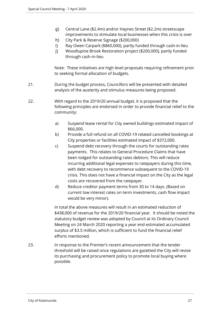- g) Central Lane (\$2.4m) and/or Haynes Street (\$2.2m) streetscape improvements to stimulate local businesses when this crisis is over
- h) City Park & Reserve Signage (\$200,000)
- i) Ray Owen Carpark (\$860,000), partly funded through cash-in-lieu
- j) Woodlupine Brook Restoration project (\$200,000), partly funded through cash-in-lieu

Note: These initiatives are high level proposals requiring refinement prior to seeking formal allocation of budgets.

- 21. During the budget process, Councillors will be presented with detailed analysis of the austerity and stimulus measures being proposed.
- 22. With regard to the 2019/20 annual budget, it is proposed that the following principles are endorsed in order to provide financial relief to the community:
	- a) Suspend lease rental for City owned buildings estimated impact of \$66,000.
	- b) Provide a full refund on all COVID-19 related cancelled bookings at City properties or facilities estimated impact of \$372,000.
	- c) Suspend debt recovery through the courts for outstanding rates payments. This relates to General Procedure Claims that have been lodged for outstanding rates debtors. This will reduce incurring additional legal expenses to ratepayers during this time, with debt recovery to recommence subsequent to the COVID-19 crisis. This does not have a financial impact on the City as the legal costs are recovered from the ratepayer.
	- d) Reduce creditor payment terms from 30 to 14 days. (Based on current low interest rates on term investments, cash flow impact would be very minor).

In total the above measures will result in an estimated reduction of \$438,000 of revenue for the 2019/20 financial year. It should be noted the statutory budget review was adopted by Council at its Ordinary Council Meeting on 24 March 2020 reporting a year end estimated accumulated surplus of \$3.5 million, which is sufficient to fund the financial relief efforts mentioned.

23. In response to the Premier's recent announcement that the tender threshold will be raised once regulations are gazetted the City will revise its purchasing and procurement policy to promote local buying where possible.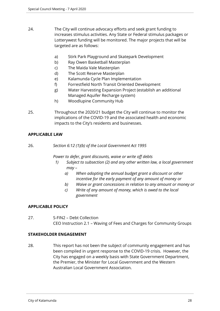- 24. The City will continue advocacy efforts and seek grant funding to increases stimulus activities. Any State or Federal stimulus packages or Lotterywest funding will be monitored. The major projects that will be targeted are as follows:
	- a) Stirk Park Playground and Skatepark Development
	- b) Ray Owen Basketball Masterplan
	- c) The Maida Vale Masterplan
	- d) The Scott Reserve Masterplan
	- e) Kalamunda Cycle Plan Implementation
	- f) Forrestfield North Transit Oriented Development
	- g) Water Harvesting Expansion Project (establish an additional Managed Aquifer Recharge system)
	- h) Woodlupine Community Hub
- 25. Throughout the 2020/21 budget the City will continue to monitor the implications of the COVID-19 and the associated health and economic impacts to the City's residents and businesses.

## **APPLICABLE LAW**

26. *Section 6:12 (1)(b) of the Local Government Act 1995* 

*Power to defer, grant discounts, waive or write off debts*

- *1) Subject to subsection (2) and any other written law, a local government may –* 
	- *a) When adopting the annual budget grant a discount or other incentive for the early payment of any amount of money or*
	- *b) Waive or grant concessions in relation to any amount or money or*
	- *c) Write of any amount of money, which is owed to the local government*

## **APPLICABLE POLICY**

27. S-FIN2 – Debt Collection CEO Instruction 2.1 – Waving of Fees and Charges for Community Groups

## **STAKEHOLDER ENGAGEMENT**

28. This report has not been the subject of community engagement and has been compiled in urgent response to the COVID-19 crisis. However, the City has engaged on a weekly basis with State Government Department, the Premier, the Minister for Local Government and the Western Australian Local Government Association.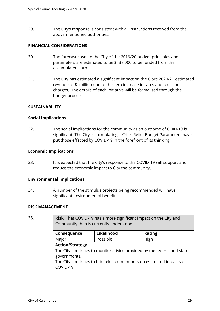29. The City's response is consistent with all instructions received from the above-mentioned authorities.

## **FINANCIAL CONSIDERATIONS**

- 30. The forecast costs to the City of the 2019/20 budget principles and parameters are estimated to be \$438,000 to be funded from the accumulated surplus.
- 31. The City has estimated a significant impact on the City's 2020/21 estimated revenue of \$1million due to the zero increase in rates and fees and charges. The details of each initiative will be formalised through the budget process.

## **SUSTAINABILITY**

## **Social Implications**

32. The social implications for the community as an outcome of COID-19 is significant. The City in formulating it Crisis Relief Budget Parameters have put those effected by COVID-19 in the forefront of its thinking.

## **Economic Implications**

33. It is expected that the City's response to the COVID-19 will support and reduce the economic impact to City the community.

## **Environmental Implications**

34. A number of the stimulus projects being recommended will have significant environmental benefits.

## **RISK MANAGEMENT**

35. **Risk**: That COVID-19 has a more significant impact on the City and Community than is currently understood.

| Consequence                                                            | Likelihood | <b>Rating</b> |  |  |
|------------------------------------------------------------------------|------------|---------------|--|--|
| Major                                                                  | Possible   | High          |  |  |
| <b>Action/Strategy</b>                                                 |            |               |  |  |
| The City continues to monitor advice provided by the federal and state |            |               |  |  |
| governments.                                                           |            |               |  |  |
| The City continues to brief elected members on estimated impacts of    |            |               |  |  |
| COVID-19                                                               |            |               |  |  |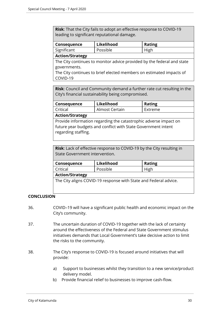**Risk**: That the City fails to adopt an effective response to COVID-19 leading to significant reputational damage.

| Consequence             | Likelihood | <b>Rating</b> |
|-------------------------|------------|---------------|
| Significant             | Possible   | High          |
| $A = 1.2$ and $B = 1.2$ |            |               |

#### **Action/Strategy**

The City continues to monitor advice provided by the federal and state governments.

The City continues to brief elected members on estimated impacts of COVID-19

**Risk**: Council and Community demand a further rate cut resulting in the City's financial sustainability being compromised.

| Consequence                                                                                                                                              | Likelihood     | <b>Rating</b> |  |  |
|----------------------------------------------------------------------------------------------------------------------------------------------------------|----------------|---------------|--|--|
| Critical                                                                                                                                                 | Almost Certain | Extreme       |  |  |
| <b>Action/Strategy</b>                                                                                                                                   |                |               |  |  |
| Provide information regarding the catastrophic adverse impact on<br>future year budgets and conflict with State Government intent<br>regarding staffing. |                |               |  |  |

**Risk**: Lack of effective response to COVID-19 by the City resulting in State Government intervention.

| Consequence                                                      | Likelihood | <b>Rating</b> |  |  |
|------------------------------------------------------------------|------------|---------------|--|--|
| Critical                                                         | Possible   | High          |  |  |
| <b>Action/Strategy</b>                                           |            |               |  |  |
| The City aligns COVID-19 response with State and Federal advice. |            |               |  |  |

## **CONCLUSION**

- 36. COVID–19 will have a significant public health and economic impact on the City's community.
- 37. The uncertain duration of COVID-19 together with the lack of certainty around the effectiveness of the Federal and State Government stimulus initiatives demands that Local Government's take decisive action to limit the risks to the community.
- 38. The City's response to COVID-19 is focused around initiatives that will provide:
	- a) Support to businesses whilst they transition to a new service/product delivery model.
	- b) Provide financial relief to businesses to improve cash-flow.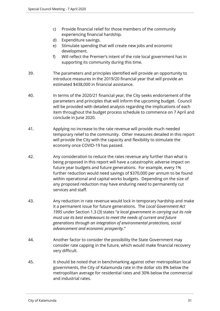- c) Provide financial relief for those members of the community experiencing financial hardship.
- d) Expenditure savings.
- e) Stimulate spending that will create new jobs and economic development.
- f) Will reflect the Premier's intent of the role local government has in supporting its community during this time.
- 39. The parameters and principles identified will provide an opportunity to introduce measures in the 2019/20 financial year that will provide an estimated \$438,000 in financial assistance.
- 40. In terms of the 2020/21 financial year, the City seeks endorsement of the parameters and principles that will inform the upcoming budget. Council will be provided with detailed analysis regarding the implications of each item throughout the budget process schedule to commence on 7 April and conclude in June 2020.
- 41. Applying no increase to the rate revenue will provide much needed temporary relief to the community. Other measures detailed in this report will provide the City with the capacity and flexibility to stimulate the economy once COVID-19 has passed.
- 42. Any consideration to reduce the rates revenue any further than what is being proposed in this report will have a catastrophic adverse impact on future year budgets and future generations. For example, every 1% further reduction would need savings of \$370,000 per annum to be found within operational and capital works budgets. Depending on the size of any proposed reduction may have enduring need to permanently cut services and staff.
- 43. Any reduction in rate revenue would lock in temporary hardship and make it a permanent issue for future generations. The *Local Government Act 1995* under Section 1.3 (3) states "*a local government in carrying out its role must use its best endeavours to meet the needs of current and future generations through an integration of environmental protections, social advancement and economic prosperity."*
- 44. Another factor to consider the possibility the State Government may consider rate capping in the future, which would make financial recovery very difficult.
- 45. It should be noted that in benchmarking against other metropolitan local governments, the City of Kalamunda rate in the dollar sits 8% below the metropolitan average for residential rates and 30% below the commercial and industrial rates.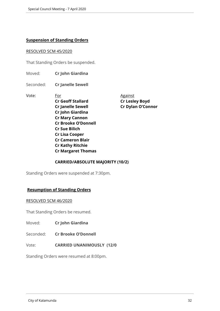## **Suspension of Standing Orders**

#### RESOLVED SCM 45/2020

That Standing Orders be suspended.

Moved: **Cr John Giardina**

Seconded: **Cr Janelle Sewell**

Vote: For For Against **Cr Geoff Stallard Cr Lesley Boyd Cr Janelle Sewell Cr Dylan O'Connor Cr John Giardina Cr Mary Cannon Cr Brooke O'Donnell Cr Sue Bilich Cr Lisa Cooper Cr Cameron Blair Cr Kathy Ritchie Cr Margaret Thomas**

**CARRIED/ABSOLUTE MAJORITY (10/2)**

Standing Orders were suspended at 7:30pm.

## **Resumption of Standing Orders**

#### RESOLVED SCM 46/2020

That Standing Orders be resumed.

Moved: **Cr John Giardina**

Seconded: **Cr Brooke O'Donnell**

Vote: **CARRIED UNANIMOUSLY (12/0**

Standing Orders were resumed at 8:00pm.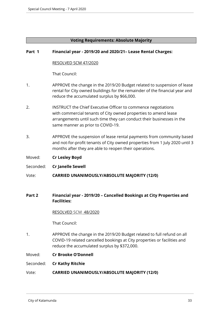## **Voting Requirements: Absolute Majority**

## **Part 1 Financial year - 2019/20 and 2020/21– Lease Rental Charges:**

## RESOLVED SCM 47/2020

That Council:

- 1. APPROVE the change in the 2019/20 Budget related to suspension of lease rental for City owned buildings for the remainder of the financial year and reduce the accumulated surplus by \$66,000.
- 2. INSTRUCT the Chief Executive Officer to commence negotiations with commercial tenants of City owned properties to amend lease arrangements until such time they can conduct their businesses in the same manner as prior to COVID-19.
- 3. APPROVE the suspension of lease rental payments from community based and not-for-profit tenants of City owned properties from 1 July 2020 until 3 months after they are able to reopen their operations.
- Moved: **Cr Lesley Boyd**
- Seconded: **Cr Janelle Sewell**
- Vote: **CARRIED UNANIMOUSLY/ABSOLUTE MAJORITY (12/0)**
- **Part 2 Financial year 2019/20 Cancelled Bookings at City Properties and Facilities:**

## RESOLVED SCM 48/2020

That Council:

1. APPROVE the change in the 2019/20 Budget related to full refund on all COVID-19 related cancelled bookings at City properties or facilities and reduce the accumulated surplus by \$372,000.

## Moved: **Cr Brooke O'Donnell**

## Seconded: **Cr Kathy Ritchie**

## Vote: **CARRIED UNANIMOUSLY/ABSOLUTE MAJORITY (12/0)**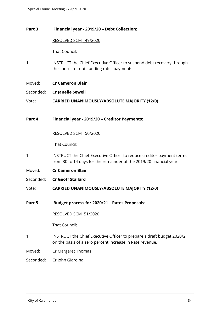## **Part 3 Financial year - 2019/20 – Debt Collection:**

RESOLVED SCM 49/2020

That Council:

- 1. INSTRUCT the Chief Executive Officer to suspend debt recovery through the courts for outstanding rates payments.
- Moved: **Cr Cameron Blair**
- Seconded: **Cr Janelle Sewell**

Vote: **CARRIED UNANIMOUSLY/ABSOLUTE MAJORITY (12/0)**

**Part 4 Financial year - 2019/20 – Creditor Payments:**

RESOLVED SCM 50/2020

That Council:

- 1. INSTRUCT the Chief Executive Officer to reduce creditor payment terms from 30 to 14 days for the remainder of the 2019/20 financial year.
- Moved: **Cr Cameron Blair**
- Seconded: **Cr Geoff Stallard**
- Vote: **CARRIED UNANIMOUSLY/ABSOLUTE MAJORITY (12/0)**
- **Part 5 Budget process for 2020/21 Rates Proposals:**

RESOLVED SCM 51/2020

That Council:

1. INSTRUCT the Chief Executive Officer to prepare a draft budget 2020/21 on the basis of a zero percent increase in Rate revenue.

Moved: Cr Margaret Thomas

Seconded: Cr John Giardina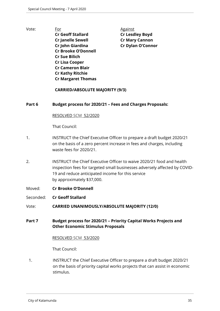- 
- Vote: For For Against **Cr Geoff Stallard Cr Lesdley Boyd Cr Janelle Sewell Cr Mary Cannon Cr John Giardina Cr Dylan O'Connor Cr Brooke O'Donnell Cr Sue Bilich Cr Lisa Cooper Cr Cameron Blair Cr Kathy Ritchie Cr Margaret Thomas**

## **CARRIED/ABSOLUTE MAJORITY (9/3)**

## **Part 6 Budget process for 2020/21 – Fees and Charges Proposals:**

RESOLVED SCM 52/2020

That Council:

- 1. INSTRUCT the Chief Executive Officer to prepare a draft budget 2020/21 on the basis of a zero percent increase in fees and charges, including waste fees for 2020/21.
- 2. INSTRUCT the Chief Executive Officer to waive 2020/21 food and health inspection fees for targeted small businesses adversely affected by COVID-19 and reduce anticipated income for this service by approximately \$37,000.
- Moved: **Cr Brooke O'Donnell**
- Seconded: **Cr Geoff Stallard**
- Vote: **CARRIED UNANIMOUSLY/ABSOLUTE MAJORITY (12/0)**
- **Part 7 Budget process for 2020/21 Priority Capital Works Projects and Other Economic Stimulus Proposals**

#### RESOLVED SCM 53/2020

That Council:

1. INSTRUCT the Chief Executive Officer to prepare a draft budget 2020/21 on the basis of priority capital works projects that can assist in economic stimulus.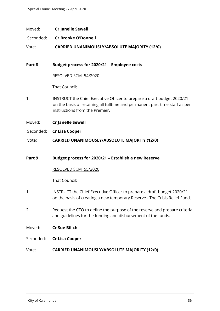## Moved: **Cr Janelle Sewell**

Seconded: **Cr Brooke O'Donnell**

Vote: **CARRIED UNANIMOUSLY/ABSOLUTE MAJORITY (12/0)**

## **Part 8 Budget process for 2020/21 – Employee costs**

RESOLVED SCM 54/2020

That Council:

1. INSTRUCT the Chief Executive Officer to prepare a draft budget 2020/21 on the basis of retaining all fulltime and permanent part-time staff as per instructions from the Premier.

Moved: **Cr Janelle Sewell**

## Seconded: **Cr Lisa Cooper**

Vote: **CARRIED UNANIMOUSLY/ABSOLUTE MAJORITY (12/0)**

## **Part 9 Budget process for 2020/21 – Establish a new Reserve**

#### RESOLVED SCM 55/2020

- 1. INSTRUCT the Chief Executive Officer to prepare a draft budget 2020/21 on the basis of creating a new temporary Reserve - The Crisis Relief Fund.
- 2. Request the CEO to define the purpose of the reserve and prepare criteria and guidelines for the funding and disbursement of the funds.
- Moved: **Cr Sue Bilich**
- Seconded: **Cr Lisa Cooper**
- Vote: **CARRIED UNANIMOUSLY/ABSOLUTE MAJORITY (12/0)**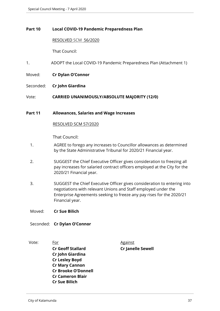## **Part 10 Local COVID-19 Pandemic Preparedness Plan**

#### RESOLVED SCM 56/2020

That Council:

- 1. ADOPT the Local COVID-19 Pandemic Preparedness Plan (Attachment 1)
- Moved: **Cr Dylan O'Connor**
- Seconded: **Cr John Giardina**
- Vote: **CARRIED UNANIMOUSLY/ABSOLUTE MAJORITY (12/0)**

#### **Part 11 Allowances, Salaries and Wage Increases**

## RESOLVED SCM 57/2020

- 1. AGREE to forego any increases to Councillor allowances as determined by the State Administrative Tribunal for 2020/21 Financial year.
- 2. SUGGEST the Chief Executive Officer gives consideration to freezing all pay increases for salaried contract officers employed at the City for the 2020/21 Financial year.
- 3. SUGGEST the Chief Executive Officer gives consideration to entering into negotiations with relevant Unions and Staff employed under the Enterprise Agreements seeking to freeze any pay rises for the 2020/21 Financial year.
- Moved: **Cr Sue Bilich**
- Seconded: **Cr Dylan O'Connor**
- Vote: For For Against **Cr Geoff Stallard Cr Janelle Sewell Cr John Giardina Cr Lesley Boyd Cr Mary Cannon Cr Brooke O'Donnell Cr Cameron Blair Cr Sue Bilich**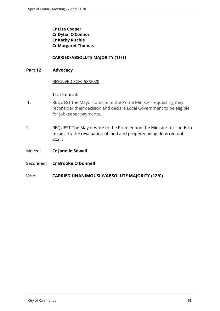**Cr Lisa Cooper Cr Dylan O'Connor Cr Kathy Ritchie Cr Margaret Thomas**

## **CARRIED/ABSOLUTE MAJORITY (11/1)**

## **Part 12 Advocacy**

## RESOLVED SCM 58/2020

- 1. REQUEST the Mayor to write to the Prime Minister requesting they reconsider their decision and declare Local Government to be eligible for jobkeeper payments.
- 2. REQUEST The Mayor write to the Premier and the Minister for Lands in respect to the revaluation of land and property being deferred until 2021.
- Moved: **Cr Janelle Sewell**
- Seconded: **Cr Brooke O'Donnell**
- Vote: **CARRIED UNANIMOUSLY/ABSOLUTE MAJORITY (12/0)**